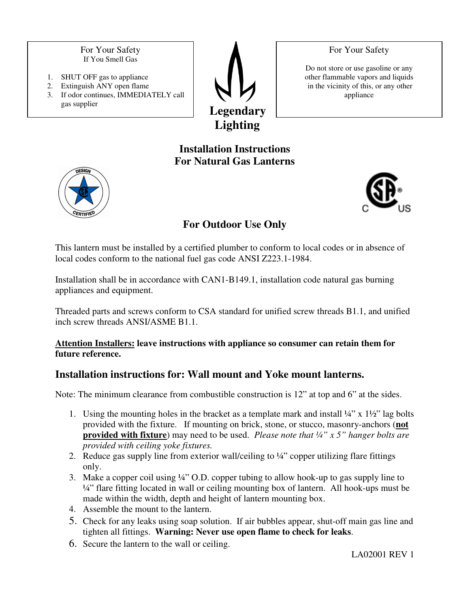For Your Safety If You Smell Gas

- 1. SHUT OFF gas to appliance
- 2. Extinguish ANY open flame 3. If odor continues, IMMEDIATELY call gas supplier



Do not store or use gasoline or any other flammable vapors and liquids in the vicinity of this, or any other

For Your Safety

appliance

**Installation Instructions For Natural Gas Lanterns** 





## **For Outdoor Use Only**

This lantern must be installed by a certified plumber to conform to local codes or in absence of local codes conform to the national fuel gas code ANSI Z223.1-1984.

Installation shall be in accordance with CAN1-B149.1, installation code natural gas burning appliances and equipment.

Threaded parts and screws conform to CSA standard for unified screw threads B1.1, and unified inch screw threads ANSI/ASME B1.1.

#### **Attention Installers: leave instructions with appliance so consumer can retain them for future reference.**

### **Installation instructions for: Wall mount and Yoke mount lanterns.**

Note: The minimum clearance from combustible construction is 12" at top and 6" at the sides.

- 1. Using the mounting holes in the bracket as a template mark and install  $\frac{1}{4}$ " x  $\frac{1}{2}$ " lag bolts provided with the fixture. If mounting on brick, stone, or stucco, masonry-anchors (**not provided with fixture**) may need to be used. *Please note that ¼" x 5" hanger bolts are provided with ceiling yoke fixtures.*
- 2. Reduce gas supply line from exterior wall/ceiling to  $\frac{1}{4}$  copper utilizing flare fittings only.
- 3. Make a copper coil using ¼" O.D. copper tubing to allow hook-up to gas supply line to ¼" flare fitting located in wall or ceiling mounting box of lantern. All hook-ups must be made within the width, depth and height of lantern mounting box.
- 4. Assemble the mount to the lantern.
- 5. Check for any leaks using soap solution. If air bubbles appear, shut-off main gas line and tighten all fittings. **Warning: Never use open flame to check for leaks**.
- 6. Secure the lantern to the wall or ceiling.